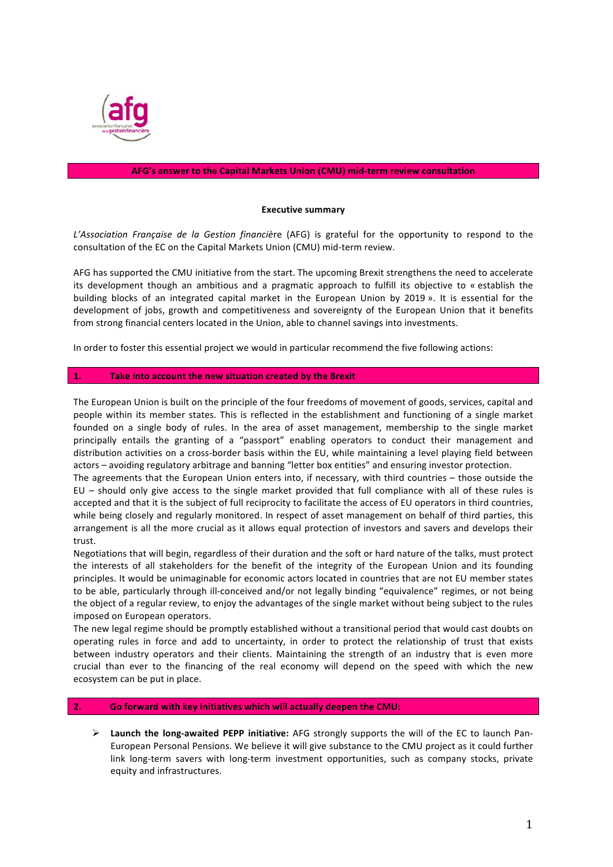

## **AFG's answer to the Capital Markets Union (CMU) mid-term review consultation**

## **Executive summary**

*L'Association Française de la Gestion financière* (AFG) is grateful for the opportunity to respond to the consultation of the EC on the Capital Markets Union (CMU) mid-term review.

AFG has supported the CMU initiative from the start. The upcoming Brexit strengthens the need to accelerate its development though an ambitious and a pragmatic approach to fulfill its objective to « establish the building blocks of an integrated capital market in the European Union by 2019 ». It is essential for the development of jobs, growth and competitiveness and sovereignty of the European Union that it benefits from strong financial centers located in the Union, able to channel savings into investments.

In order to foster this essential project we would in particular recommend the five following actions:

#### **1.** Take into account the new situation created by the Brexit

The European Union is built on the principle of the four freedoms of movement of goods, services, capital and people within its member states. This is reflected in the establishment and functioning of a single market founded on a single body of rules. In the area of asset management, membership to the single market principally entails the granting of a "passport" enabling operators to conduct their management and distribution activities on a cross-border basis within the EU, while maintaining a level playing field between actors – avoiding regulatory arbitrage and banning "letter box entities" and ensuring investor protection.

The agreements that the European Union enters into, if necessary, with third countries - those outside the EU – should only give access to the single market provided that full compliance with all of these rules is accepted and that it is the subject of full reciprocity to facilitate the access of EU operators in third countries. while being closely and regularly monitored. In respect of asset management on behalf of third parties, this arrangement is all the more crucial as it allows equal protection of investors and savers and develops their trust.

Negotiations that will begin, regardless of their duration and the soft or hard nature of the talks, must protect the interests of all stakeholders for the benefit of the integrity of the European Union and its founding principles. It would be unimaginable for economic actors located in countries that are not EU member states to be able, particularly through ill-conceived and/or not legally binding "equivalence" regimes, or not being the object of a regular review, to enjoy the advantages of the single market without being subject to the rules imposed on European operators.

The new legal regime should be promptly established without a transitional period that would cast doubts on operating rules in force and add to uncertainty, in order to protect the relationship of trust that exists between industry operators and their clients. Maintaining the strength of an industry that is even more crucial than ever to the financing of the real economy will depend on the speed with which the new ecosystem can be put in place.

#### **2. Go forward with key initiatives which will actually deepen the CMU:**

▶ Launch the long-awaited PEPP initiative: AFG strongly supports the will of the EC to launch Pan-European Personal Pensions. We believe it will give substance to the CMU project as it could further link long-term savers with long-term investment opportunities, such as company stocks, private equity and infrastructures.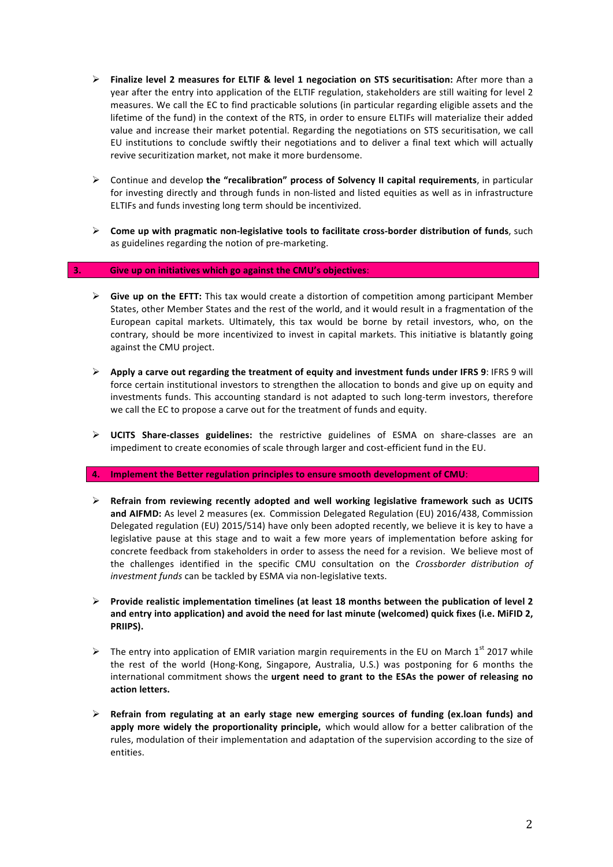- **▶** Finalize level 2 measures for ELTIF & level 1 negociation on STS securitisation: After more than a year after the entry into application of the ELTIF regulation, stakeholders are still waiting for level 2 measures. We call the EC to find practicable solutions (in particular regarding eligible assets and the lifetime of the fund) in the context of the RTS, in order to ensure ELTIFs will materialize their added value and increase their market potential. Regarding the negotiations on STS securitisation, we call EU institutions to conclude swiftly their negotiations and to deliver a final text which will actually revive securitization market, not make it more burdensome.
- $\triangleright$  Continue and develop the "recalibration" process of Solvency II capital requirements, in particular for investing directly and through funds in non-listed and listed equities as well as in infrastructure ELTIFs and funds investing long term should be incentivized.
- $\triangleright$  Come up with pragmatic non-legislative tools to facilitate cross-border distribution of funds, such as guidelines regarding the notion of pre-marketing.

## **3. Give up on initiatives which go against the CMU's objectives**:

- $\triangleright$  **Give up on the EFTT:** This tax would create a distortion of competition among participant Member States, other Member States and the rest of the world, and it would result in a fragmentation of the European capital markets. Ultimately, this tax would be borne by retail investors, who, on the contrary, should be more incentivized to invest in capital markets. This initiative is blatantly going against the CMU project.
- **E** Apply a carve out regarding the treatment of equity and investment funds under IFRS 9: IFRS 9 will force certain institutional investors to strengthen the allocation to bonds and give up on equity and investments funds. This accounting standard is not adapted to such long-term investors, therefore we call the EC to propose a carve out for the treatment of funds and equity.
- > UCITS Share-classes guidelines: the restrictive guidelines of ESMA on share-classes are an impediment to create economies of scale through larger and cost-efficient fund in the EU.

#### **4.** Implement the Better regulation principles to ensure smooth development of CMU:

- $\triangleright$  Refrain from reviewing recently adopted and well working legislative framework such as UCITS and AIFMD: As level 2 measures (ex. Commission Delegated Regulation (EU) 2016/438, Commission Delegated regulation (EU) 2015/514) have only been adopted recently, we believe it is key to have a legislative pause at this stage and to wait a few more years of implementation before asking for concrete feedback from stakeholders in order to assess the need for a revision. We believe most of the challenges identified in the specific CMU consultation on the *Crossborder distribution of* investment funds can be tackled by ESMA via non-legislative texts.
- **Provide realistic implementation timelines (at least 18 months between the publication of level 2** and entry into application) and avoid the need for last minute (welcomed) quick fixes (i.e. MiFID 2, **PRIIPS).**
- $\triangleright$  The entry into application of EMIR variation margin requirements in the EU on March 1<sup>st</sup> 2017 while the rest of the world (Hong-Kong, Singapore, Australia, U.S.) was postponing for 6 months the international commitment shows the urgent need to grant to the ESAs the power of releasing no action letters.
- $\triangleright$  Refrain from regulating at an early stage new emerging sources of funding (ex.loan funds) and **apply more widely the proportionality principle,** which would allow for a better calibration of the rules, modulation of their implementation and adaptation of the supervision according to the size of entities.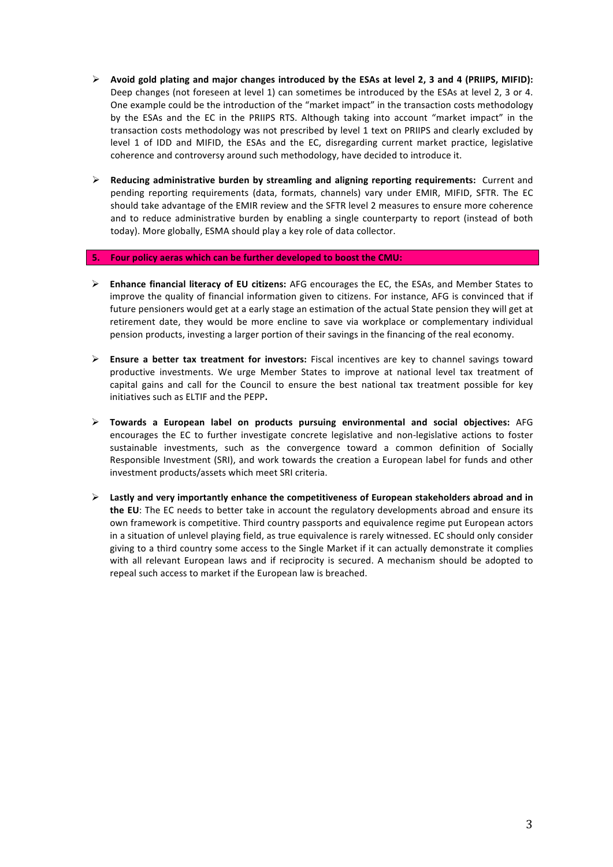- $\triangleright$  Avoid gold plating and major changes introduced by the ESAs at level 2, 3 and 4 (PRIIPS, MIFID): Deep changes (not foreseen at level 1) can sometimes be introduced by the ESAs at level 2, 3 or 4. One example could be the introduction of the "market impact" in the transaction costs methodology by the ESAs and the EC in the PRIIPS RTS. Although taking into account "market impact" in the transaction costs methodology was not prescribed by level 1 text on PRIIPS and clearly excluded by level 1 of IDD and MIFID, the ESAs and the EC, disregarding current market practice, legislative coherence and controversy around such methodology, have decided to introduce it.
- $\triangleright$  Reducing administrative burden by streamling and aligning reporting requirements: Current and pending reporting requirements (data, formats, channels) vary under EMIR, MIFID, SFTR. The EC should take advantage of the EMIR review and the SFTR level 2 measures to ensure more coherence and to reduce administrative burden by enabling a single counterparty to report (instead of both today). More globally, ESMA should play a key role of data collector.

#### **5. Four policy aeras which can be further developed to boost the CMU:**

- **Enhance financial literacy of EU citizens:** AFG encourages the EC, the ESAs, and Member States to improve the quality of financial information given to citizens. For instance, AFG is convinced that if future pensioners would get at a early stage an estimation of the actual State pension they will get at retirement date, they would be more encline to save via workplace or complementary individual pension products, investing a larger portion of their savings in the financing of the real economy.
- **Ensure a better tax treatment for investors:** Fiscal incentives are key to channel savings toward productive investments. We urge Member States to improve at national level tax treatment of capital gains and call for the Council to ensure the best national tax treatment possible for key initiatives such as ELTIF and the PEPP**.**
- ! **Towards a European label on products pursuing environmental and social objectives:** AFG encourages the EC to further investigate concrete legislative and non-legislative actions to foster sustainable investments, such as the convergence toward a common definition of Socially Responsible Investment (SRI), and work towards the creation a European label for funds and other investment products/assets which meet SRI criteria.
- $\triangleright$  Lastly and very importantly enhance the competitiveness of European stakeholders abroad and in **the EU**: The EC needs to better take in account the regulatory developments abroad and ensure its own framework is competitive. Third country passports and equivalence regime put European actors in a situation of unlevel playing field, as true equivalence is rarely witnessed. EC should only consider giving to a third country some access to the Single Market if it can actually demonstrate it complies with all relevant European laws and if reciprocity is secured. A mechanism should be adopted to repeal such access to market if the European law is breached.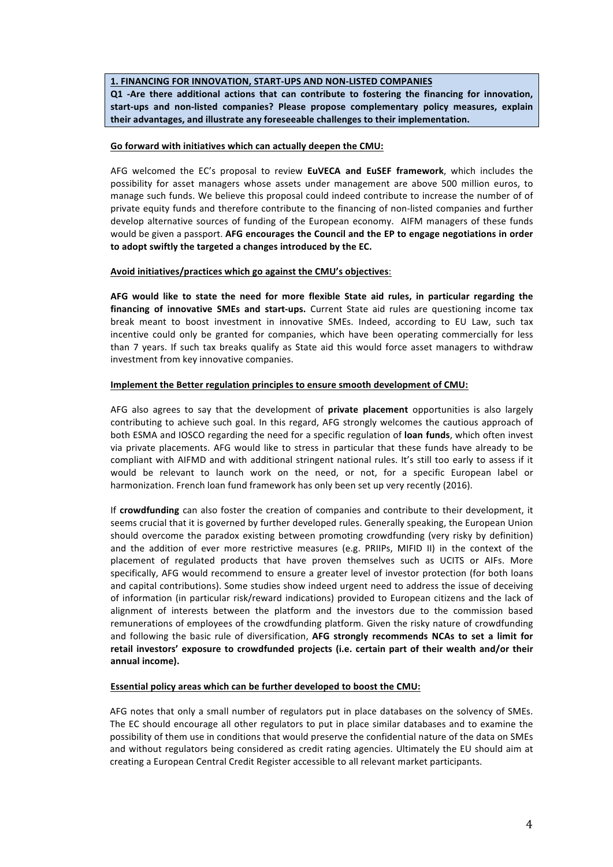#### **1. FINANCING FOR INNOVATION, START-UPS AND NON-LISTED COMPANIES**

**Q1 -Are there additional actions that can contribute to fostering the financing for innovation,**  start-ups and non-listed companies? Please propose complementary policy measures, explain their advantages, and illustrate any foreseeable challenges to their implementation.

## Go forward with initiatives which can actually deepen the CMU:

AFG welcomed the EC's proposal to review EuVECA and EuSEF framework, which includes the possibility for asset managers whose assets under management are above 500 million euros, to manage such funds. We believe this proposal could indeed contribute to increase the number of of private equity funds and therefore contribute to the financing of non-listed companies and further develop alternative sources of funding of the European economy. AIFM managers of these funds would be given a passport. AFG encourages the Council and the EP to engage negotiations in order to adopt swiftly the targeted a changes introduced by the EC.

## Avoid initiatives/practices which go against the CMU's objectives:

AFG would like to state the need for more flexible State aid rules, in particular regarding the **financing of innovative SMEs and start-ups.** Current State aid rules are questioning income tax break meant to boost investment in innovative SMEs. Indeed, according to EU Law, such tax incentive could only be granted for companies, which have been operating commercially for less than 7 years. If such tax breaks qualify as State aid this would force asset managers to withdraw investment from key innovative companies.

## **Implement the Better regulation principles to ensure smooth development of CMU:**

AFG also agrees to say that the development of **private placement** opportunities is also largely contributing to achieve such goal. In this regard, AFG strongly welcomes the cautious approach of both ESMA and IOSCO regarding the need for a specific regulation of **loan funds**, which often invest via private placements. AFG would like to stress in particular that these funds have already to be compliant with AIFMD and with additional stringent national rules. It's still too early to assess if it would be relevant to launch work on the need, or not, for a specific European label or harmonization. French loan fund framework has only been set up very recently (2016).

If crowdfunding can also foster the creation of companies and contribute to their development, it seems crucial that it is governed by further developed rules. Generally speaking, the European Union should overcome the paradox existing between promoting crowdfunding (very risky by definition) and the addition of ever more restrictive measures (e.g. PRIIPs, MIFID II) in the context of the placement of regulated products that have proven themselves such as UCITS or AIFs. More specifically, AFG would recommend to ensure a greater level of investor protection (for both loans and capital contributions). Some studies show indeed urgent need to address the issue of deceiving of information (in particular risk/reward indications) provided to European citizens and the lack of alignment of interests between the platform and the investors due to the commission based remunerations of employees of the crowdfunding platform. Given the risky nature of crowdfunding and following the basic rule of diversification, AFG strongly recommends NCAs to set a limit for retail investors' exposure to crowdfunded projects (i.e. certain part of their wealth and/or their annual income).

## Essential policy areas which can be further developed to boost the CMU:

AFG notes that only a small number of regulators put in place databases on the solvency of SMEs. The EC should encourage all other regulators to put in place similar databases and to examine the possibility of them use in conditions that would preserve the confidential nature of the data on SMEs and without regulators being considered as credit rating agencies. Ultimately the EU should aim at creating a European Central Credit Register accessible to all relevant market participants.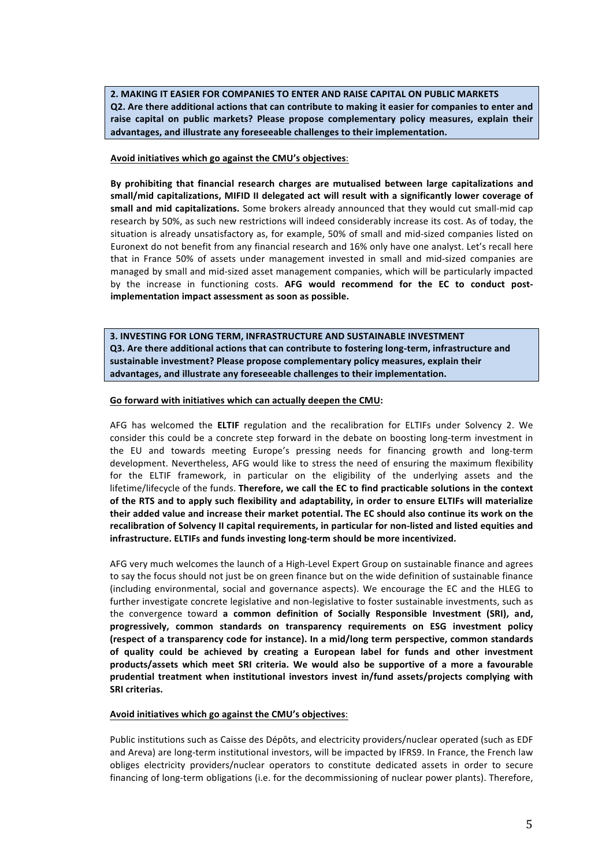**2. MAKING IT EASIER FOR COMPANIES TO ENTER AND RAISE CAPITAL ON PUBLIC MARKETS Q2.** Are there additional actions that can contribute to making it easier for companies to enter and raise capital on public markets? Please propose complementary policy measures, explain their advantages, and illustrate any foreseeable challenges to their implementation.

Avoid initiatives which go against the CMU's objectives:

By prohibiting that financial research charges are mutualised between large capitalizations and small/mid capitalizations, MIFID II delegated act will result with a significantly lower coverage of small and mid capitalizations. Some brokers already announced that they would cut small-mid cap research by 50%, as such new restrictions will indeed considerably increase its cost. As of today, the situation is already unsatisfactory as, for example, 50% of small and mid-sized companies listed on Euronext do not benefit from any financial research and 16% only have one analyst. Let's recall here that in France 50% of assets under management invested in small and mid-sized companies are managed by small and mid-sized asset management companies, which will be particularly impacted by the increase in functioning costs. AFG would recommend for the EC to conduct postimplementation impact assessment as soon as possible.

**3. INVESTING FOR LONG TERM, INFRASTRUCTURE AND SUSTAINABLE INVESTMENT Q3.** Are there additional actions that can contribute to fostering long-term, infrastructure and sustainable investment? Please propose complementary policy measures, explain their advantages, and illustrate any foreseeable challenges to their implementation.

## Go forward with initiatives which can actually deepen the CMU:

AFG has welcomed the ELTIF regulation and the recalibration for ELTIFs under Solvency 2. We consider this could be a concrete step forward in the debate on boosting long-term investment in the EU and towards meeting Europe's pressing needs for financing growth and long-term development. Nevertheless, AFG would like to stress the need of ensuring the maximum flexibility for the ELTIF framework, in particular on the eligibility of the underlying assets and the lifetime/lifecycle of the funds. Therefore, we call the EC to find practicable solutions in the context of the RTS and to apply such flexibility and adaptability, in order to ensure ELTIFs will materialize **their added value and increase their market potential. The EC should also continue its work on the** recalibration of Solvency II capital requirements, in particular for non-listed and listed equities and **infrastructure. ELTIFs and funds investing long-term should be more incentivized.**

AFG very much welcomes the launch of a High-Level Expert Group on sustainable finance and agrees to say the focus should not just be on green finance but on the wide definition of sustainable finance (including environmental, social and governance aspects). We encourage the EC and the HLEG to further investigate concrete legislative and non-legislative to foster sustainable investments, such as the convergence toward a common definition of Socially Responsible Investment (SRI), and, progressively, common standards on transparency requirements on ESG investment policy **(respect of a transparency code for instance). In a mid/long term perspective, common standards**  of quality could be achieved by creating a European label for funds and other investment products/assets which meet SRI criteria. We would also be supportive of a more a favourable prudential treatment when institutional investors invest in/fund assets/projects complying with **SRI** criterias.

#### Avoid initiatives which go against the CMU's objectives:

Public institutions such as Caisse des Dépôts, and electricity providers/nuclear operated (such as EDF and Areva) are long-term institutional investors, will be impacted by IFRS9. In France, the French law obliges electricity providers/nuclear operators to constitute dedicated assets in order to secure financing of long-term obligations (i.e. for the decommissioning of nuclear power plants). Therefore,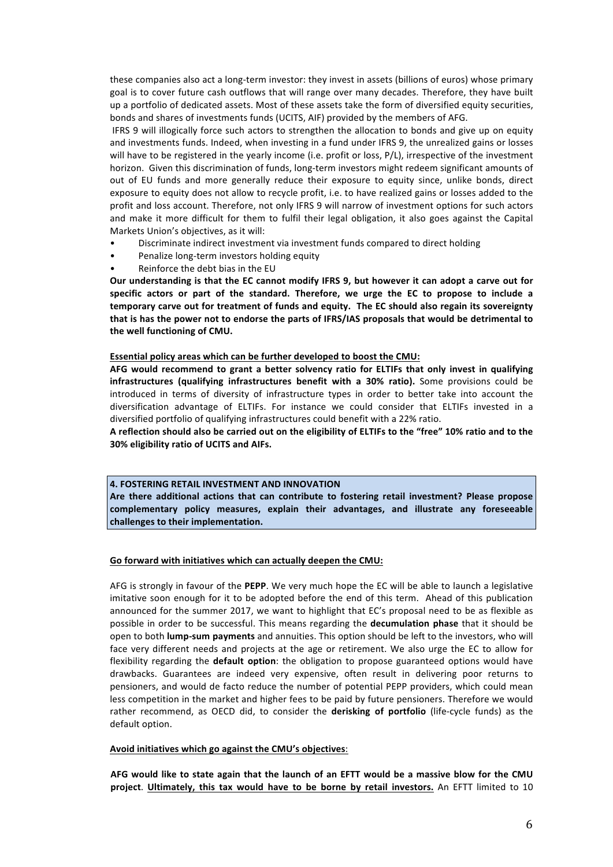these companies also act a long-term investor: they invest in assets (billions of euros) whose primary goal is to cover future cash outflows that will range over many decades. Therefore, they have built up a portfolio of dedicated assets. Most of these assets take the form of diversified equity securities, bonds and shares of investments funds (UCITS, AIF) provided by the members of AFG.

IFRS 9 will illogically force such actors to strengthen the allocation to bonds and give up on equity and investments funds. Indeed, when investing in a fund under IFRS 9, the unrealized gains or losses will have to be registered in the yearly income (i.e. profit or loss,  $P/L$ ), irrespective of the investment horizon. Given this discrimination of funds, long-term investors might redeem significant amounts of out of EU funds and more generally reduce their exposure to equity since, unlike bonds, direct exposure to equity does not allow to recycle profit, i.e. to have realized gains or losses added to the profit and loss account. Therefore, not only IFRS 9 will narrow of investment options for such actors and make it more difficult for them to fulfil their legal obligation, it also goes against the Capital Markets Union's objectives, as it will:

- Discriminate indirect investment via investment funds compared to direct holding
- Penalize long-term investors holding equity
- Reinforce the debt bias in the EU

Our understanding is that the EC cannot modify IFRS 9, but however it can adopt a carve out for specific actors or part of the standard. Therefore, we urge the EC to propose to include a temporary carve out for treatment of funds and equity. The EC should also regain its sovereignty that is has the power not to endorse the parts of IFRS/IAS proposals that would be detrimental to the well functioning of CMU.

#### Essential policy areas which can be further developed to boost the CMU:

AFG would recommend to grant a better solvency ratio for ELTIFs that only invest in qualifying **infrastructures** (qualifying infrastructures benefit with a 30% ratio). Some provisions could be introduced in terms of diversity of infrastructure types in order to better take into account the diversification advantage of ELTIFs. For instance we could consider that ELTIFs invested in a diversified portfolio of qualifying infrastructures could benefit with a 22% ratio.

A reflection should also be carried out on the eligibility of ELTIFs to the "free" 10% ratio and to the **30% eligibility ratio of UCITS and AIFs.**

#### **4. FOSTERING RETAIL INVESTMENT AND INNOVATION**

Are there additional actions that can contribute to fostering retail investment? Please propose complementary policy measures, explain their advantages, and illustrate any foreseeable challenges to their implementation.

#### Go forward with initiatives which can actually deepen the CMU:

AFG is strongly in favour of the PEPP. We very much hope the EC will be able to launch a legislative imitative soon enough for it to be adopted before the end of this term. Ahead of this publication announced for the summer 2017, we want to highlight that EC's proposal need to be as flexible as possible in order to be successful. This means regarding the **decumulation phase** that it should be open to both **lump-sum payments** and annuities. This option should be left to the investors, who will face very different needs and projects at the age or retirement. We also urge the EC to allow for flexibility regarding the **default option**: the obligation to propose guaranteed options would have drawbacks. Guarantees are indeed very expensive, often result in delivering poor returns to pensioners, and would de facto reduce the number of potential PEPP providers, which could mean less competition in the market and higher fees to be paid by future pensioners. Therefore we would rather recommend, as OECD did, to consider the **derisking of portfolio** (life-cycle funds) as the default option.

## Avoid initiatives which go against the CMU's objectives:

AFG would like to state again that the launch of an EFTT would be a massive blow for the CMU **project**. Ultimately, this tax would have to be borne by retail investors. An EFTT limited to 10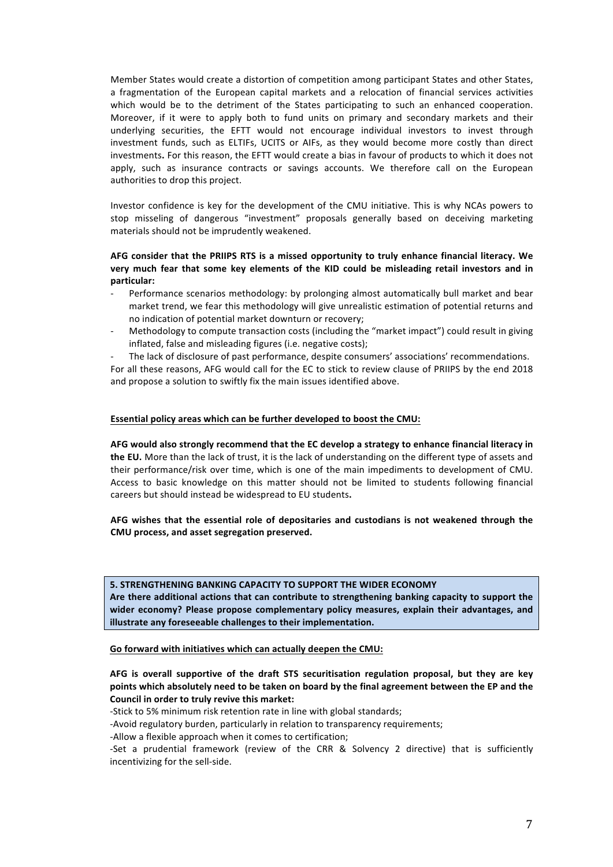Member States would create a distortion of competition among participant States and other States, a fragmentation of the European capital markets and a relocation of financial services activities which would be to the detriment of the States participating to such an enhanced cooperation. Moreover, if it were to apply both to fund units on primary and secondary markets and their underlying securities, the EFTT would not encourage individual investors to invest through investment funds, such as ELTIFs, UCITS or AIFs, as they would become more costly than direct investments. For this reason, the EFTT would create a bias in favour of products to which it does not apply, such as insurance contracts or savings accounts. We therefore call on the European authorities to drop this project.

Investor confidence is key for the development of the CMU initiative. This is why NCAs powers to stop misseling of dangerous "investment" proposals generally based on deceiving marketing materials should not be imprudently weakened.

## AFG consider that the PRIIPS RTS is a missed opportunity to truly enhance financial literacy. We very much fear that some key elements of the KID could be misleading retail investors and in **particular:**

- Performance scenarios methodology: by prolonging almost automatically bull market and bear market trend, we fear this methodology will give unrealistic estimation of potential returns and no indication of potential market downturn or recovery;
- Methodology to compute transaction costs (including the "market impact") could result in giving inflated, false and misleading figures (i.e. negative costs);
- The lack of disclosure of past performance, despite consumers' associations' recommendations.

For all these reasons, AFG would call for the EC to stick to review clause of PRIIPS by the end 2018 and propose a solution to swiftly fix the main issues identified above.

## Essential policy areas which can be further developed to boost the CMU:

AFG would also strongly recommend that the EC develop a strategy to enhance financial literacy in **the EU.** More than the lack of trust, it is the lack of understanding on the different type of assets and their performance/risk over time, which is one of the main impediments to development of CMU. Access to basic knowledge on this matter should not be limited to students following financial careers but should instead be widespread to EU students.

AFG wishes that the essential role of depositaries and custodians is not weakened through the **CMU process, and asset segregation preserved.**

#### **5. STRENGTHENING BANKING CAPACITY TO SUPPORT THE WIDER ECONOMY**

Are there additional actions that can contribute to strengthening banking capacity to support the wider economy? Please propose complementary policy measures, explain their advantages, and **illustrate any foreseeable challenges to their implementation.** 

#### Go forward with initiatives which can actually deepen the CMU:

# **AFG is overall supportive of the draft STS securitisation regulation proposal, but they are key** points which absolutely need to be taken on board by the final agreement between the EP and the **Council in order to truly revive this market:**

-Stick to 5% minimum risk retention rate in line with global standards;

-Avoid regulatory burden, particularly in relation to transparency requirements;

-Allow a flexible approach when it comes to certification;

-Set a prudential framework (review of the CRR & Solvency 2 directive) that is sufficiently incentivizing for the sell-side.